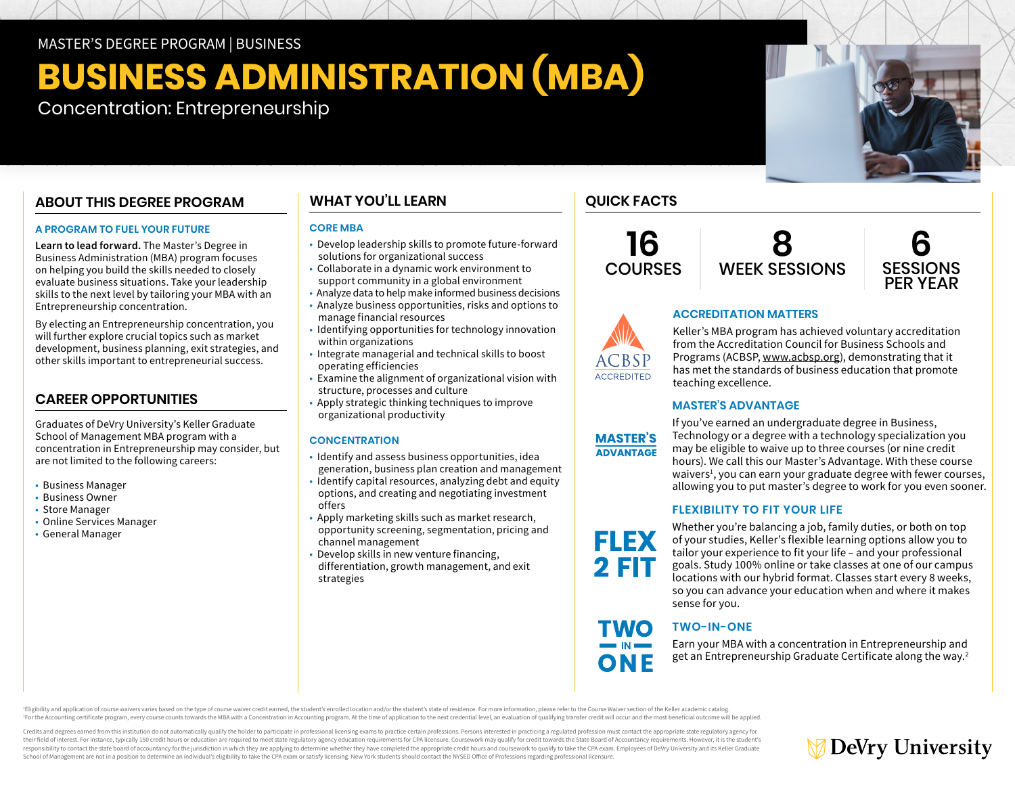## MASTER'S DEGREE PROGRAM | BUSINESS

# **BUSINESS ADMINISTRATION (MBA)**

Concentration: Entrepreneurship

# **ABOUT THIS DEGREE PROGRAM**

### **A PROGRAM TO FUEL YOUR FUTURE**

**Learn to lead forward.** The Master's Degree in Business Administration (MBA) program focuses on helping you build the skills needed to closely evaluate business situations. Take your leadership skills to the next level by tailoring your MBA with an Entrepreneurship concentration.

By electing an Entrepreneurship concentration, you will further explore crucial topics such as market development, business planning, exit strategies, and other skills important to entrepreneurial success.

# **CAREER OPPORTUNITIES**

Graduates of DeVry University's Keller Graduate School of Management MBA program with a concentration in Entrepreneurship may consider, but are not limited to the following careers:

- Business Manager
- Business Owner
- Store Manager
- Online Services Manager
- General Manager

# **WHAT YOU'LL LEARN**

### **CORE MBA**

- Develop leadership skills to promote future-forward solutions for organizational success
- Collaborate in a dynamic work environment to support community in a global environment
- Analyze data to help make informed business decisions
- Analyze business opportunities, risks and options to manage financial resources
- Identifying opportunities for technology innovation within organizations
- Integrate managerial and technical skills to boost operating efficiencies
- Examine the alignment of organizational vision with structure, processes and culture
- Apply strategic thinking techniques to improve organizational productivity

### **CONCENTRATION**

- Identify and assess business opportunities, idea generation, business plan creation and management
- Identify capital resources, analyzing debt and equity options, and creating and negotiating investment offers
- Apply marketing skills such as market research, opportunity screening, segmentation, pricing and channel management
- Develop skills in new venture financing, differentiation, growth management, and exit strategies

# **QUICK FACTS**

**16 COURSES** 







**ACCREDITATION MATTERS**

Keller's MBA program has achieved voluntary accreditation from the Accreditation Council for Business Schools and Programs (ACBSP, [www.acbsp.org](https://www.acbsp.org)), demonstrating that it has met the standards of business education that promote teaching excellence.

### **MASTER'S ADVANTAGE**



EI EX

**2 FIT** 

**EWO** 

ONF

If you've earned an undergraduate degree in Business, Technology or a degree with a technology specialization you may be eligible to waive up to three courses (or nine credit hours). We call this our Master's Advantage. With these course waivers<sup>1</sup>, you can earn your graduate degree with fewer courses, allowing you to put master's degree to work for you even sooner.

### **FLEXIBILITY TO FIT YOUR LIFE**

Whether you're balancing a job, family duties, or both on top of your studies, Keller's flexible learning options allow you to tailor your experience to fit your life – and your professional goals. Study 100% online or take classes at one of our campus locations with our hybrid format. Classes start every 8 weeks, so you can advance your education when and where it makes sense for you.

# **TWO-IN-ONE**

Earn your MBA with a concentration in Entrepreneurship and get an Entrepreneurship Graduate Certificate along the way.2

Eligibility and application of course waivers varies based on the type of course waiver credit earned, the student's enrolled location and/or the student's state of residence. For more information, please refer to the Cour For the Accounting certificate program, every course counts towards the MBA with a Concentration in Accounting program. At the time of application to the next credential level, an evaluation of qualifying transfer credit w

Credits and degrees earned from this institution do not automatically qualify the holder to participate in professional licensing exams to practice certain professions. Persons interested in practicing a regulated professi their field of interest. For instance, typically 150 credit hours or education are required to meet state regulatory agency education requirements for CPA licensure. Coursework may qualify for credit towards the State Boar responsibility to contact the state board of accountancy for the jurisdiction in which they are applying to determine whether they have completed the appropriate credit hours and coursework to qualify to take the CPA exam. School of Management are not in a position to determine an individual's eligibility to take the CPA exam or satisfy licensing. New York students should contact the NYSED Office of Professions regarding professional licensu